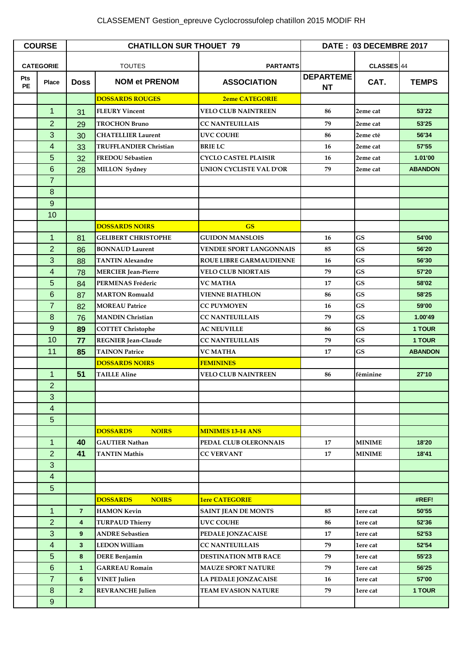## CLASSEMENT Gestion\_epreuve Cyclocrossufolep chatillon 2015 MODIF RH

| <b>COURSE</b>    |                  | <b>CHATILLON SUR THOUET 79</b> |                                 |                                | DATE: 03 DECEMBRE 2017        |               |                |
|------------------|------------------|--------------------------------|---------------------------------|--------------------------------|-------------------------------|---------------|----------------|
| <b>CATEGORIE</b> |                  | <b>TOUTES</b>                  |                                 | <b>PARTANTS</b>                |                               | CLASSES 44    |                |
| Pts<br><b>PE</b> | Place            | <b>Doss</b>                    | <b>NOM et PRENOM</b>            | <b>ASSOCIATION</b>             | <b>DEPARTEME</b><br><b>NT</b> | CAT.          | <b>TEMPS</b>   |
|                  |                  |                                | <b>DOSSARDS ROUGES</b>          | <b>2eme CATEGORIE</b>          |                               |               |                |
|                  | 1                | 31                             | <b>FLEURY Vincent</b>           | <b>VELO CLUB NAINTREEN</b>     | 86                            | 2eme cat      | 53'22          |
|                  | $\overline{2}$   | 29                             | <b>TROCHON Bruno</b>            | <b>CC NANTEUILLAIS</b>         | 79                            | 2eme cat      | 53'25          |
|                  | 3                | 30                             | <b>CHATELLIER Laurent</b>       | <b>UVC COUHE</b>               | 86                            | 2eme cté      | 56'34          |
|                  | 4                | 33                             | <b>TRUFFLANDIER Christian</b>   | <b>BRIE LC</b>                 | 16                            | 2eme cat      | 57'55          |
|                  | 5                | 32                             | <b>FREDOU Sébastien</b>         | <b>CYCLO CASTEL PLAISIR</b>    | 16                            | 2eme cat      | 1.01'00        |
|                  | 6                | 28                             | <b>MILLON</b> Sydney            | UNION CYCLISTE VAL D'OR        | 79                            | 2eme cat      | <b>ABANDON</b> |
|                  | $\overline{7}$   |                                |                                 |                                |                               |               |                |
|                  | 8                |                                |                                 |                                |                               |               |                |
|                  | $\overline{9}$   |                                |                                 |                                |                               |               |                |
|                  | 10               |                                |                                 |                                |                               |               |                |
|                  |                  |                                | <b>DOSSARDS NOIRS</b>           | <b>GS</b>                      |                               |               |                |
|                  | $\mathbf 1$      | 81                             | <b>GELIBERT CHRISTOPHE</b>      | <b>GUIDON MANSLOIS</b>         | 16                            | <b>GS</b>     | 54'00          |
|                  | $\overline{2}$   | 86                             | <b>BONNAUD Laurent</b>          | <b>VENDEE SPORT LANGONNAIS</b> | 85                            | <b>GS</b>     | 56'20          |
|                  | 3                | 88                             | <b>TANTIN Alexandre</b>         | <b>ROUE LIBRE GARMAUDIENNE</b> | 16                            | <b>GS</b>     | 56'30          |
|                  | 4                | 78                             | <b>MERCIER</b> Jean-Pierre      | <b>VELO CLUB NIORTAIS</b>      | 79                            | <b>GS</b>     | 57'20          |
|                  | 5                | 84                             | <b>PERMENAS Fréderic</b>        | VC MATHA                       | 17                            | <b>GS</b>     | 58'02          |
|                  | 6                | 87                             | <b>MARTON Romuald</b>           | <b>VIENNE BIATHLON</b>         | 86                            | <b>GS</b>     | 58'25          |
|                  | $\overline{7}$   | 82                             | <b>MOREAU Patrice</b>           | <b>CC PUYMOYEN</b>             | 16                            | GS            | 59'00          |
|                  | 8                | 76                             | <b>MANDIN Christian</b>         | <b>CC NANTEUILLAIS</b>         | 79                            | <b>GS</b>     | 1.00'49        |
|                  | $\boldsymbol{9}$ | 89                             | <b>COTTET Christophe</b>        | <b>AC NEUVILLE</b>             | 86                            | <b>GS</b>     | 1 TOUR         |
|                  | 10               | 77                             | <b>REGNIER Jean-Claude</b>      | <b>CC NANTEUILLAIS</b>         | 79                            | <b>GS</b>     | 1 TOUR         |
|                  | 11               | 85                             | <b>TAINON Patrice</b>           | <b>VC MATHA</b>                | 17                            | <b>GS</b>     | <b>ABANDON</b> |
|                  |                  |                                | <b>DOSSARDS NOIRS</b>           | <b>FEMININES</b>               |                               |               |                |
|                  | 1                | 51                             | <b>TAILLE Aline</b>             | <b>VELO CLUB NAINTREEN</b>     | 86                            | féminine      | 27'10          |
|                  | $\overline{2}$   |                                |                                 |                                |                               |               |                |
|                  | 3                |                                |                                 |                                |                               |               |                |
|                  | 4                |                                |                                 |                                |                               |               |                |
|                  | 5                |                                |                                 |                                |                               |               |                |
|                  |                  |                                | <b>DOSSARDS</b><br><b>NOIRS</b> | <b>MINIMES 13-14 ANS</b>       |                               |               |                |
|                  | 1                | 40                             | <b>GAUTIER Nathan</b>           | PEDAL CLUB OLERONNAIS          | 17                            | <b>MINIME</b> | 18'20          |
|                  | $\overline{2}$   | 41                             | <b>TANTIN Mathis</b>            | <b>CC VERVANT</b>              | 17                            | <b>MINIME</b> | 18'41          |
|                  | 3                |                                |                                 |                                |                               |               |                |
|                  | 4                |                                |                                 |                                |                               |               |                |
|                  | 5                |                                |                                 |                                |                               |               |                |
|                  |                  |                                | <b>DOSSARDS</b><br><b>NOIRS</b> | <b>1ere CATEGORIE</b>          |                               |               | #REF!          |
|                  | $\mathbf 1$      | $\overline{7}$                 | <b>HAMON Kevin</b>              | <b>SAINT JEAN DE MONTS</b>     | 85                            | 1ere cat      | 50'55          |
|                  | $\overline{2}$   | $\overline{\mathbf{4}}$        | <b>TURPAUD Thierry</b>          | <b>UVC COUHE</b>               | 86                            | 1ere cat      | 52'36          |
|                  | 3                | 9 <sup>°</sup>                 | <b>ANDRE Sebastien</b>          | PEDALE JONZACAISE              | 17                            | 1ere cat      | 52'53          |
|                  | 4                | 3 <sup>5</sup>                 | <b>LEDON William</b>            | <b>CC NANTEUILLAIS</b>         | 79                            | 1ere cat      | 52'54          |
|                  | 5                | 8                              | <b>DERE Benjamin</b>            | <b>DESTINATION MTB RACE</b>    | 79                            | 1ere cat      | 55'23          |
|                  | 6                | $\mathbf{1}$                   | <b>GARREAU Romain</b>           | <b>MAUZE SPORT NATURE</b>      | 79                            | 1ere cat      | 56'25          |
|                  | $\overline{7}$   | 6                              | <b>VINET</b> Julien             | LA PEDALE JONZACAISE           | 16                            | 1ere cat      | 57'00          |
|                  | 8                | 2 <sup>1</sup>                 | <b>REVRANCHE Julien</b>         | <b>TEAM EVASION NATURE</b>     | 79                            | 1ere cat      | 1 TOUR         |
|                  | $\overline{9}$   |                                |                                 |                                |                               |               |                |